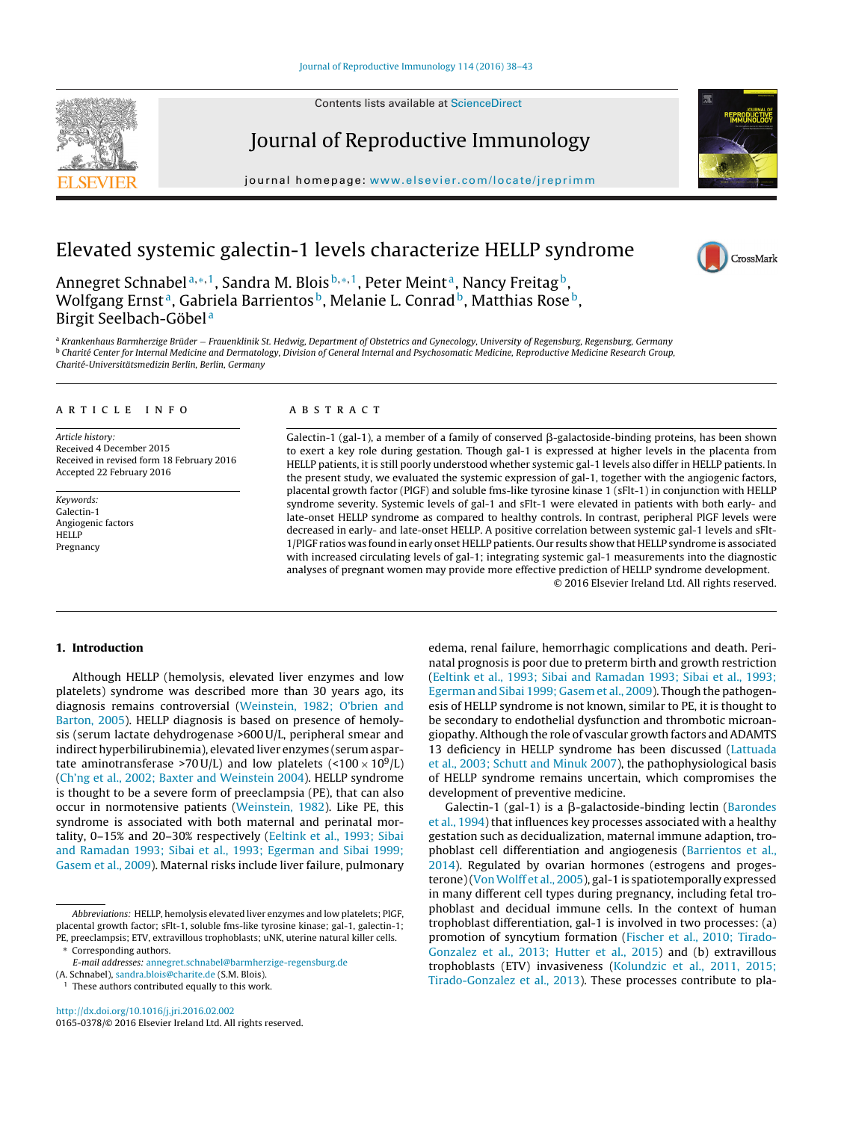Contents lists available at [ScienceDirect](http://www.sciencedirect.com/science/journal/01650378)





journal homepage: <www.elsevier.com/locate/jreprimm>



CrossMark

# Elevated systemic galectin-1 levels characterize HELLP syndrome

Annegret Schnabel<sup>a,\*,1</sup>, Sandra M. Blois<sup>b,\*,1</sup>, Peter Meint<sup>a</sup>, Nancy Freitag<sup>b</sup>, Wolfgang Ernst<sup>a</sup>, Gabriela Barrientos<sup>b</sup>, Melanie L. Conrad<sup>b</sup>, Matthias Rose<sup>b</sup>, Birgit Seelbach-Göbel <sup>a</sup>

<sup>a</sup> Krankenhaus Barmherzige Brüder – Frauenklinik St. Hedwig, Department of Obstetrics and Gynecology, University of Regensburg, Regensburg, Germany<br><sup>b</sup> Charité Center for Internal Medicine and Dermatology, Division of Gen Charité-Universitätsmedizin Berlin, Berlin, Germany

## a r t i c l e i n f o

Article history: Received 4 December 2015 Received in revised form 18 February 2016 Accepted 22 February 2016

Keywords: Galectin-1 Angiogenic factors HELLP Pregnancy

## A B S T R A C T

Galectin-1 (gal-1), a member of a family of conserved  $\beta$ -galactoside-binding proteins, has been shown to exert a key role during gestation. Though gal-1 is expressed at higher levels in the placenta from HELLP patients, it is still poorly understood whether systemic gal-1 levels also differ in HELLP patients. In the present study, we evaluated the systemic expression of gal-1, together with the angiogenic factors, placental growth factor (PlGF) and soluble fms-like tyrosine kinase 1 (sFlt-1) in conjunction with HELLP syndrome severity. Systemic levels of gal-1 and sFlt-1 were elevated in patients with both early- and late-onset HELLP syndrome as compared to healthy controls. In contrast, peripheral PlGF levels were decreased in early- and late-onset HELLP. A positive correlation between systemic gal-1 levels and sFlt-1/PlGF ratios was found in early onset HELLP patients. Our results show that HELLP syndrome is associated with increased circulating levels of gal-1; integrating systemic gal-1 measurements into the diagnostic analyses of pregnant women may provide more effective prediction of HELLP syndrome development. © 2016 Elsevier Ireland Ltd. All rights reserved.

## **1. Introduction**

Although HELLP (hemolysis, elevated liver enzymes and low platelets) syndrome was described more than 30 years ago, its diagnosis remains controversial ([Weinstein,](#page-5-0) [1982;](#page-5-0) [O'brien](#page-5-0) [and](#page-5-0) [Barton,](#page-5-0) [2005\).](#page-5-0) HELLP diagnosis is based on presence of hemolysis (serum lactate dehydrogenase >600 U/L, peripheral smear and indirect hyperbilirubinemia), elevated liver enzymes (serum aspartate aminotransferase >70 U/L) and low platelets (<100  $\times$  10<sup>9</sup>/L) ([Ch'ng](#page-4-0) et [al.,](#page-4-0) [2002;](#page-4-0) [Baxter](#page-4-0) [and](#page-4-0) [Weinstein](#page-4-0) [2004\).](#page-4-0) HELLP syndrome is thought to be a severe form of preeclampsia (PE), that can also occur in normotensive patients [\(Weinstein,](#page-5-0) [1982\).](#page-5-0) Like PE, this syndrome is associated with both maternal and perinatal mortality, 0–15% and 20–30% respectively ([Eeltink](#page-4-0) et [al.,](#page-4-0) [1993;](#page-4-0) [Sibai](#page-4-0) [and](#page-4-0) [Ramadan](#page-4-0) [1993;](#page-4-0) [Sibai](#page-4-0) et [al.,](#page-4-0) [1993;](#page-4-0) [Egerman](#page-4-0) [and](#page-4-0) [Sibai](#page-4-0) [1999;](#page-4-0) [Gasem](#page-4-0) et [al.,](#page-4-0) [2009\).](#page-4-0) Maternal risks include liver failure, pulmonary

(A. Schnabel), [sandra.blois@charite.de](mailto:sandra.blois@charite.de) (S.M. Blois).

 $1$  These authors contributed equally to this work.

[http://dx.doi.org/10.1016/j.jri.2016.02.002](dx.doi.org/10.1016/j.jri.2016.02.002) 0165-0378/© 2016 Elsevier Ireland Ltd. All rights reserved.

edema, renal failure, hemorrhagic complications and death. Perinatal prognosis is poor due to preterm birth and growth restriction [\(Eeltink](#page-4-0) et [al.,](#page-4-0) [1993;](#page-4-0) [Sibai](#page-4-0) [and](#page-4-0) [Ramadan](#page-4-0) [1993;](#page-4-0) [Sibai](#page-4-0) et [al.,](#page-4-0) [1993;](#page-4-0) [Egerman](#page-4-0) [and](#page-4-0) [Sibai](#page-4-0) [1999;](#page-4-0) [Gasem](#page-4-0) et [al.,](#page-4-0) [2009\).](#page-4-0) Though the pathogenesis of HELLP syndrome is not known, similar to PE, it is thought to be secondary to endothelial dysfunction and thrombotic microangiopathy. Although the role of vascular growth factors and ADAMTS 13 deficiency in HELLP syndrome has been discussed ([Lattuada](#page-5-0) et [al.,](#page-5-0) [2003;](#page-5-0) [Schutt](#page-5-0) [and](#page-5-0) [Minuk](#page-5-0) [2007\),](#page-5-0) the pathophysiological basis of HELLP syndrome remains uncertain, which compromises the development of preventive medicine.

 $Galectin-1$  (gal-1) is a  $\beta$ -galactoside-binding lectin ([Barondes](#page-4-0) et [al.,](#page-4-0) [1994\)](#page-4-0) that influences key processes associated with a healthy gestation such as decidualization, maternal immune adaption, trophoblast cell differentiation and angiogenesis ([Barrientos](#page-4-0) et [al.,](#page-4-0) [2014\).](#page-4-0) Regulated by ovarian hormones (estrogens and progesterone)(Von Wolff et [al.,](#page-5-0) [2005\),](#page-5-0) gal-1 is spatiotemporally expressed in many different cell types during pregnancy, including fetal trophoblast and decidual immune cells. In the context of human trophoblast differentiation, gal-1 is involved in two processes: (a) promotion of syncytium formation [\(Fischer](#page-5-0) et [al.,](#page-5-0) [2010;](#page-5-0) [Tirado-](#page-5-0)Gonzalez et [al.,](#page-5-0) [2013;](#page-5-0) [Hutter](#page-5-0) et [al.,](#page-5-0) [2015\)](#page-5-0) and (b) extravillous trophoblasts (ETV) invasiveness [\(Kolundzic](#page-5-0) et [al.,](#page-5-0) [2011,](#page-5-0) [2015;](#page-5-0) [Tirado-Gonzalez](#page-5-0) et [al.,](#page-5-0) [2013\).](#page-5-0) These processes contribute to pla-

Abbreviations: HELLP, hemolysis elevated liver enzymes and low platelets; PlGF, placental growth factor; sFlt-1, soluble fms-like tyrosine kinase; gal-1, galectin-1; PE, preeclampsis; ETV, extravillous trophoblasts; uNK, uterine natural killer cells. Corresponding authors.

E-mail addresses: [annegret.schnabel@barmherzige-regensburg.de](mailto:annegret.schnabel@barmherzige-regensburg.de)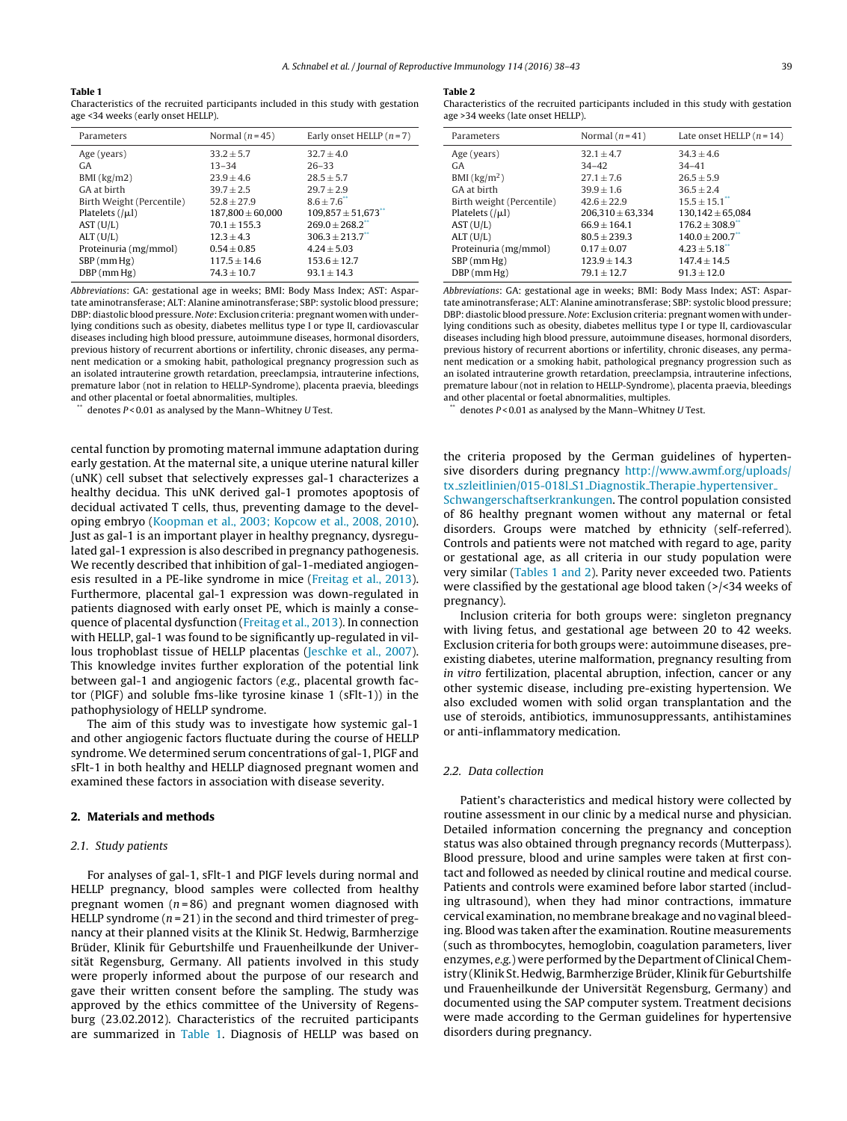#### <span id="page-1-0"></span>**Table 1**

Characteristics of the recruited participants included in this study with gestation age <34 weeks (early onset HELLP).

| Parameters                | Normal $(n=45)$      | Early onset HELLP $(n=7)$          |
|---------------------------|----------------------|------------------------------------|
| Age (years)               | $33.2 + 5.7$         | $32.7 + 4.0$                       |
| <b>GA</b>                 | $13 - 34$            | $26 - 33$                          |
| BMI (kg/m2)               | $23.9 + 4.6$         | $28.5 + 5.7$                       |
| GA at birth               | $39.7 + 2.5$         | $29.7 \pm 2.9$                     |
| Birth Weight (Percentile) | $52.8 + 27.9$        | $8.6 + 7.6$                        |
| Platelets $( \mu )$       | $187.800 \pm 60.000$ | $109.857 \pm 51.673$ <sup>**</sup> |
| AST(U/L)                  | $70.1 + 155.3$       | $269.0 + 268.2$                    |
| ALT(U/L)                  | $12.3 + 4.3$         | $306.3 \pm 213.7$                  |
| Proteinuria (mg/mmol)     | $0.54 + 0.85$        | $4.24 + 5.03$                      |
| $SBP$ (mm Hg)             | $117.5 \pm 14.6$     | $153.6 + 12.7$                     |
| $DBP$ (mm $Hg$ )          | $74.3 \pm 10.7$      | $93.1 + 14.3$                      |

Abbreviations: GA: gestational age in weeks; BMI: Body Mass Index; AST: Aspartate aminotransferase; ALT: Alanine aminotransferase; SBP: systolic blood pressure; DBP: diastolic blood pressure. Note: Exclusion criteria: pregnant women with underlying conditions such as obesity, diabetes mellitus type I or type II, cardiovascular diseases including high blood pressure, autoimmune diseases, hormonal disorders, previous history of recurrent abortions or infertility, chronic diseases, any permanent medication or a smoking habit, pathological pregnancy progression such as an isolated intrauterine growth retardation, preeclampsia, intrauterine infections, premature labor (not in relation to HELLP-Syndrome), placenta praevia, bleedings and other placental or foetal abnormalities, multiples.

denotes  $P < 0.01$  as analysed by the Mann–Whitney U Test.

cental function by promoting maternal immune adaptation during early gestation. At the maternal site, a unique uterine natural killer (uNK) cell subset that selectively expresses gal-1 characterizes a healthy decidua. This uNK derived gal-1 promotes apoptosis of decidual activated T cells, thus, preventing damage to the developing embryo [\(Koopman](#page-5-0) et [al.,](#page-5-0) [2003;](#page-5-0) [Kopcow](#page-5-0) et [al.,](#page-5-0) [2008,](#page-5-0) [2010\).](#page-5-0) Just as gal-1 is an important player in healthy pregnancy, dysregulated gal-1 expression is also described in pregnancy pathogenesis. We recently described that inhibition of gal-1-mediated angiogenesis resulted in a PE-like syndrome in mice [\(Freitag](#page-5-0) et [al.,](#page-5-0) [2013\).](#page-5-0) Furthermore, placental gal-1 expression was down-regulated in patients diagnosed with early onset PE, which is mainly a consequence of placental dysfunction ([Freitag](#page-5-0) et [al.,](#page-5-0) [2013\).](#page-5-0) In connection with HELLP, gal-1 was found to be significantly up-regulated in villous trophoblast tissue of HELLP placentas [\(Jeschke](#page-5-0) et [al.,](#page-5-0) [2007\).](#page-5-0) This knowledge invites further exploration of the potential link between gal-1 and angiogenic factors (e.g., placental growth factor (PlGF) and soluble fms-like tyrosine kinase 1 (sFlt-1)) in the pathophysiology of HELLP syndrome.

The aim of this study was to investigate how systemic gal-1 and other angiogenic factors fluctuate during the course of HELLP syndrome. We determined serum concentrations of gal-1, PlGF and sFlt-1 in both healthy and HELLP diagnosed pregnant women and examined these factors in association with disease severity.

#### **2. Materials and methods**

### 2.1. Study patients

For analyses of gal-1, sFlt-1 and PIGF levels during normal and HELLP pregnancy, blood samples were collected from healthy pregnant women ( $n = 86$ ) and pregnant women diagnosed with HELLP syndrome  $(n=21)$  in the second and third trimester of pregnancy at their planned visits at the Klinik St. Hedwig, Barmherzige Brüder, Klinik für Geburtshilfe und Frauenheilkunde der Universität Regensburg, Germany. All patients involved in this study were properly informed about the purpose of our research and gave their written consent before the sampling. The study was approved by the ethics committee of the University of Regensburg (23.02.2012). Characteristics of the recruited participants are summarized in Table 1. Diagnosis of HELLP was based on

#### **Table 2**

Characteristics of the recruited participants included in this study with gestation age >34 weeks (late onset HELLP).

| Normal $(n=41)$      | Late onset HELLP $(n=14)$ |
|----------------------|---------------------------|
| $32.1 \pm 4.7$       | $34.3 + 4.6$              |
| $34 - 42$            | $34 - 41$                 |
| $27.1 \pm 7.6$       | $26.5 \pm 5.9$            |
| $39.9 + 1.6$         | $36.5 \pm 2.4$            |
| $42.6 + 22.9$        | $15.5 \pm 15.1$           |
| $206.310 \pm 63.334$ | $130,142 \pm 65,084$      |
| $66.9 + 164.1$       | $176.2 \pm 308.9$         |
| $80.5 + 239.3$       | $140.0 \pm 200.7$         |
| $0.17 \pm 0.07$      | $4.23 \pm 5.18$           |
| $123.9 \pm 14.3$     | $147.4 \pm 14.5$          |
| $79.1 + 12.7$        | $91.3 + 12.0$             |
|                      |                           |

Abbreviations: GA: gestational age in weeks; BMI: Body Mass Index; AST: Aspartate aminotransferase; ALT: Alanine aminotransferase; SBP: systolic blood pressure; DBP: diastolic blood pressure. Note: Exclusion criteria: pregnant women with underlying conditions such as obesity, diabetes mellitus type I or type II, cardiovascular diseases including high blood pressure, autoimmune diseases, hormonal disorders, previous history of recurrent abortions or infertility, chronic diseases, any permanent medication or a smoking habit, pathological pregnancy progression such as an isolated intrauterine growth retardation, preeclampsia, intrauterine infections, premature labour (not in relation to HELLP-Syndrome), placenta praevia, bleedings and other placental or foetal abnormalities, multiples.

denotes  $P < 0.01$  as analysed by the Mann–Whitney U Test.

the criteria proposed by the German guidelines of hypertensive disorders during pregnancy [http://www.awmf.org/uploads/](http://www.awmf.org/uploads/tx_szleitlinien/015-018l_S1_Diagnostik_Therapie_hypertensiver_Schwangerschaftserkrankungen) [tx](http://www.awmf.org/uploads/tx_szleitlinien/015-018l_S1_Diagnostik_Therapie_hypertensiver_Schwangerschaftserkrankungen)\_[szleitlinien/015-018l](http://www.awmf.org/uploads/tx_szleitlinien/015-018l_S1_Diagnostik_Therapie_hypertensiver_Schwangerschaftserkrankungen)\_[S1](http://www.awmf.org/uploads/tx_szleitlinien/015-018l_S1_Diagnostik_Therapie_hypertensiver_Schwangerschaftserkrankungen)\_[Diagnostik](http://www.awmf.org/uploads/tx_szleitlinien/015-018l_S1_Diagnostik_Therapie_hypertensiver_Schwangerschaftserkrankungen)\_[Therapie](http://www.awmf.org/uploads/tx_szleitlinien/015-018l_S1_Diagnostik_Therapie_hypertensiver_Schwangerschaftserkrankungen)\_[hypertensiver](http://www.awmf.org/uploads/tx_szleitlinien/015-018l_S1_Diagnostik_Therapie_hypertensiver_Schwangerschaftserkrankungen)\_ [Schwangerschaftserkrankungen](http://www.awmf.org/uploads/tx_szleitlinien/015-018l_S1_Diagnostik_Therapie_hypertensiver_Schwangerschaftserkrankungen). The control population consisted of 86 healthy pregnant women without any maternal or fetal disorders. Groups were matched by ethnicity (self-referred). Controls and patients were not matched with regard to age, parity or gestational age, as all criteria in our study population were very similar (Tables 1 and 2). Parity never exceeded two. Patients were classified by the gestational age blood taken (>/<34 weeks of pregnancy).

Inclusion criteria for both groups were: singleton pregnancy with living fetus, and gestational age between 20 to 42 weeks. Exclusion criteria for both groups were: autoimmune diseases, preexisting diabetes, uterine malformation, pregnancy resulting from in vitro fertilization, placental abruption, infection, cancer or any other systemic disease, including pre-existing hypertension. We also excluded women with solid organ transplantation and the use of steroids, antibiotics, immunosuppressants, antihistamines or anti-inflammatory medication.

#### 2.2. Data collection

Patient's characteristics and medical history were collected by routine assessment in our clinic by a medical nurse and physician. Detailed information concerning the pregnancy and conception status was also obtained through pregnancy records (Mutterpass). Blood pressure, blood and urine samples were taken at first contact and followed as needed by clinical routine and medical course. Patients and controls were examined before labor started (including ultrasound), when they had minor contractions, immature cervical examination, no membrane breakage and no vaginal bleeding. Blood was taken after the examination. Routine measurements (such as thrombocytes, hemoglobin, coagulation parameters, liver enzymes, e.g.) were performed by the Department of Clinical Chemistry (Klinik St. Hedwig, Barmherzige Brüder, Klinik für Geburtshilfe und Frauenheilkunde der Universität Regensburg, Germany) and documented using the SAP computer system. Treatment decisions were made according to the German guidelines for hypertensive disorders during pregnancy.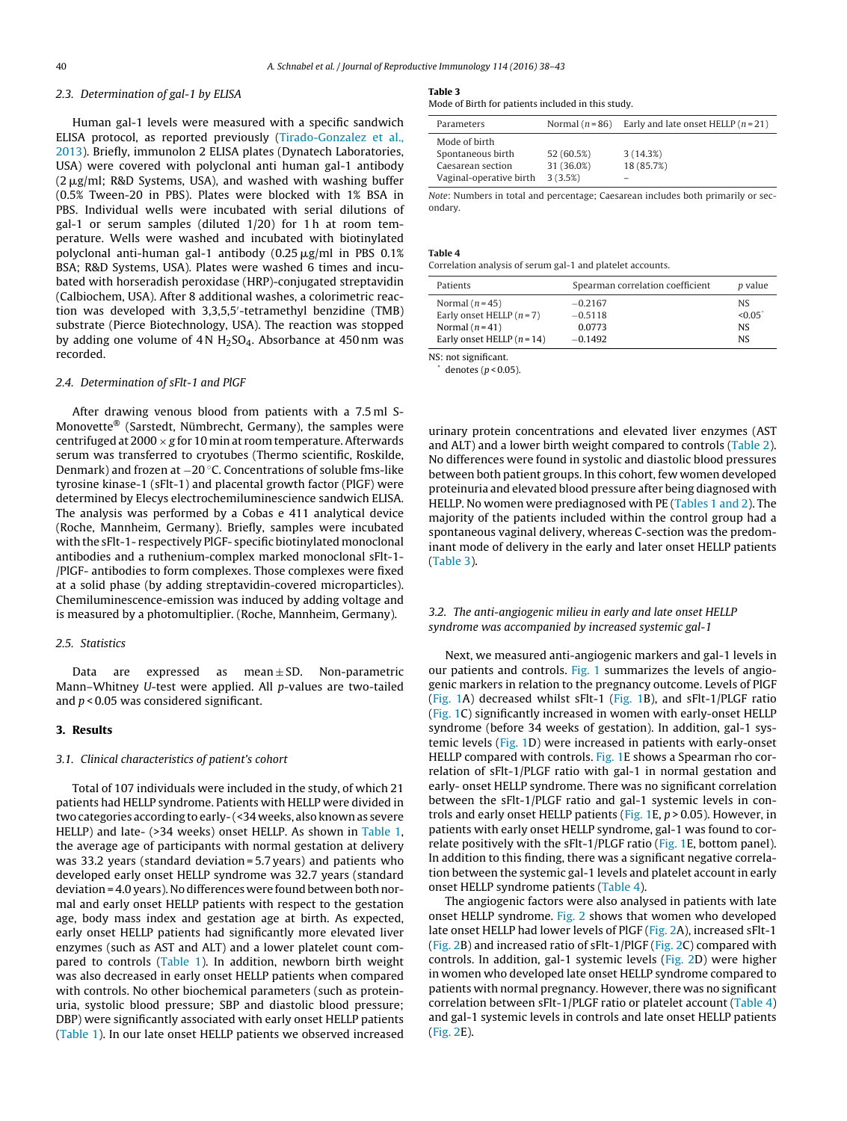## 2.3. Determination of gal-1 by ELISA

Human gal-1 levels were measured with a specific sandwich ELISA protocol, as reported previously ([Tirado-Gonzalez](#page-5-0) et [al.,](#page-5-0) [2013\).](#page-5-0) Briefly, immunolon 2 ELISA plates (Dynatech Laboratories, USA) were covered with polyclonal anti human gal-1 antibody  $(2 \mu g/ml; R&D$  Systems, USA), and washed with washing buffer (0.5% Tween-20 in PBS). Plates were blocked with 1% BSA in PBS. Individual wells were incubated with serial dilutions of gal-1 or serum samples (diluted 1/20) for 1 h at room temperature. Wells were washed and incubated with biotinylated polyclonal anti-human gal-1 antibody  $(0.25 \,\mu\text{g/ml}$  in PBS  $0.1\%$ BSA; R&D Systems, USA). Plates were washed 6 times and incubated with horseradish peroxidase (HRP)-conjugated streptavidin (Calbiochem, USA). After 8 additional washes, a colorimetric reaction was developed with 3,3,5,5 -tetramethyl benzidine (TMB) substrate (Pierce Biotechnology, USA). The reaction was stopped by adding one volume of  $4 \text{ N H}_2$ SO<sub>4</sub>. Absorbance at  $450 \text{ nm}$  was recorded.

#### 2.4. Determination of sFlt-1 and PlGF

After drawing venous blood from patients with a 7.5 ml S-Monovette® (Sarstedt, Nümbrecht, Germany), the samples were centrifuged at 2000  $\times$  g for 10 min at room temperature. Afterwards serum was transferred to cryotubes (Thermo scientific, Roskilde, Denmark) and frozen at −20 ◦C. Concentrations of soluble fms-like tyrosine kinase-1 (sFlt-1) and placental growth factor (PlGF) were determined by Elecys electrochemiluminescience sandwich ELISA. The analysis was performed by a Cobas e 411 analytical device (Roche, Mannheim, Germany). Briefly, samples were incubated with the sFlt-1- respectively PlGF- specific biotinylated monoclonal antibodies and a ruthenium-complex marked monoclonal sFlt-1- /PlGF- antibodies to form complexes. Those complexes were fixed at a solid phase (by adding streptavidin-covered microparticles). Chemiluminescence-emission was induced by adding voltage and is measured by a photomultiplier. (Roche, Mannheim, Germany).

### 2.5. Statistics

Data are expressed as mean $\pm$ SD. Non-parametric Mann–Whitney U-test were applied. All p-values are two-tailed and  $p < 0.05$  was considered significant.

## **3. Results**

## 3.1. Clinical characteristics of patient's cohort

Total of 107 individuals were included in the study, of which 21 patients had HELLP syndrome. Patients with HELLP were divided in two categories according to early- (<34 weeks, also known as severe HELLP) and late- (>34 weeks) onset HELLP. As shown in [Table](#page-1-0) 1, the average age of participants with normal gestation at delivery was 33.2 years (standard deviation = 5.7 years) and patients who developed early onset HELLP syndrome was 32.7 years (standard deviation = 4.0 years). No differences were found between both normal and early onset HELLP patients with respect to the gestation age, body mass index and gestation age at birth. As expected, early onset HELLP patients had significantly more elevated liver enzymes (such as AST and ALT) and a lower platelet count compared to controls ([Table](#page-1-0) 1). In addition, newborn birth weight was also decreased in early onset HELLP patients when compared with controls. No other biochemical parameters (such as proteinuria, systolic blood pressure; SBP and diastolic blood pressure; DBP) were significantly associated with early onset HELLP patients ([Table](#page-1-0) 1). In our late onset HELLP patients we observed increased

#### **Table 3**

Mode of Birth for patients included in this study.

| Parameters              | Normal $(n=86)$ | Early and late onset HELLP $(n=21)$ |
|-------------------------|-----------------|-------------------------------------|
| Mode of birth           |                 |                                     |
| Spontaneous birth       | 52 (60.5%)      | 3(14.3%)                            |
| Caesarean section       | 31 (36.0%)      | 18 (85.7%)                          |
| Vaginal-operative birth | 3(3.5%)         | -                                   |

Note: Numbers in total and percentage; Caesarean includes both primarily or secondary.

#### **Table 4**

Correlation analysis of serum gal-1 and platelet accounts.

| Patients                     | Spearman correlation coefficient | <i>p</i> value |
|------------------------------|----------------------------------|----------------|
| Normal $(n=45)$              | $-0.2167$                        | <b>NS</b>      |
| Early onset HELLP $(n=7)$    | $-0.5118$                        | < 0.05         |
| Normal $(n=41)$              | 0.0773                           | <b>NS</b>      |
| Early onset HELLP $(n = 14)$ | $-0.1492$                        | <b>NS</b>      |
|                              |                                  |                |

NS: not significant.

denotes ( $p$  < 0.05).

urinary protein concentrations and elevated liver enzymes (AST and ALT) and a lower birth weight compared to controls [\(Table](#page-1-0) 2). No differences were found in systolic and diastolic blood pressures between both patient groups. In this cohort, few women developed proteinuria and elevated blood pressure after being diagnosed with HELLP. No women were prediagnosed with PE [\(Tables](#page-1-0) 1 and 2). The majority of the patients included within the control group had a spontaneous vaginal delivery, whereas C-section was the predominant mode of delivery in the early and later onset HELLP patients (Table 3).

## 3.2. The anti-angiogenic milieu in early and late onset HELLP syndrome was accompanied by increased systemic gal-1

Next, we measured anti-angiogenic markers and gal-1 levels in our patients and controls. [Fig.](#page-3-0) 1 summarizes the levels of angiogenic markers in relation to the pregnancy outcome. Levels of PlGF [\(Fig.](#page-3-0) 1A) decreased whilst  $sFlt-1$  (Fig. 1B), and  $sFlt-1$ /PLGF ratio [\(Fig.](#page-3-0) 1C) significantly increased in women with early-onset HELLP syndrome (before 34 weeks of gestation). In addition, gal-1 systemic levels ([Fig.](#page-3-0) 1D) were increased in patients with early-onset HELLP compared with controls. [Fig.](#page-3-0) 1E shows a Spearman rho correlation of sFlt-1/PLGF ratio with gal-1 in normal gestation and early- onset HELLP syndrome. There was no significant correlation between the sFlt-1/PLGF ratio and gal-1 systemic levels in con-trols and early onset HELLP patients [\(Fig.](#page-3-0) 1E,  $p > 0.05$ ). However, in patients with early onset HELLP syndrome, gal-1 was found to correlate positively with the sFlt-1/PLGF ratio ([Fig.](#page-3-0) 1E, bottom panel). In addition to this finding, there was a significant negative correlation between the systemic gal-1 levels and platelet account in early onset HELLP syndrome patients (Table 4).

The angiogenic factors were also analysed in patients with late onset HELLP syndrome. [Fig.](#page-4-0) 2 shows that women who developed late onset HELLP had lower levels of PlGF ([Fig.](#page-4-0) 2A), increased sFlt-1 [\(Fig.](#page-4-0) 2B) and increased ratio of sFlt-1/PlGF [\(Fig.](#page-4-0) 2C) compared with controls. In addition, gal-1 systemic levels ([Fig.](#page-4-0) 2D) were higher in women who developed late onset HELLP syndrome compared to patients with normal pregnancy. However, there was no significant correlation between sFlt-1/PLGF ratio or platelet account (Table 4) and gal-1 systemic levels in controls and late onset HELLP patients [\(Fig.](#page-4-0) 2E).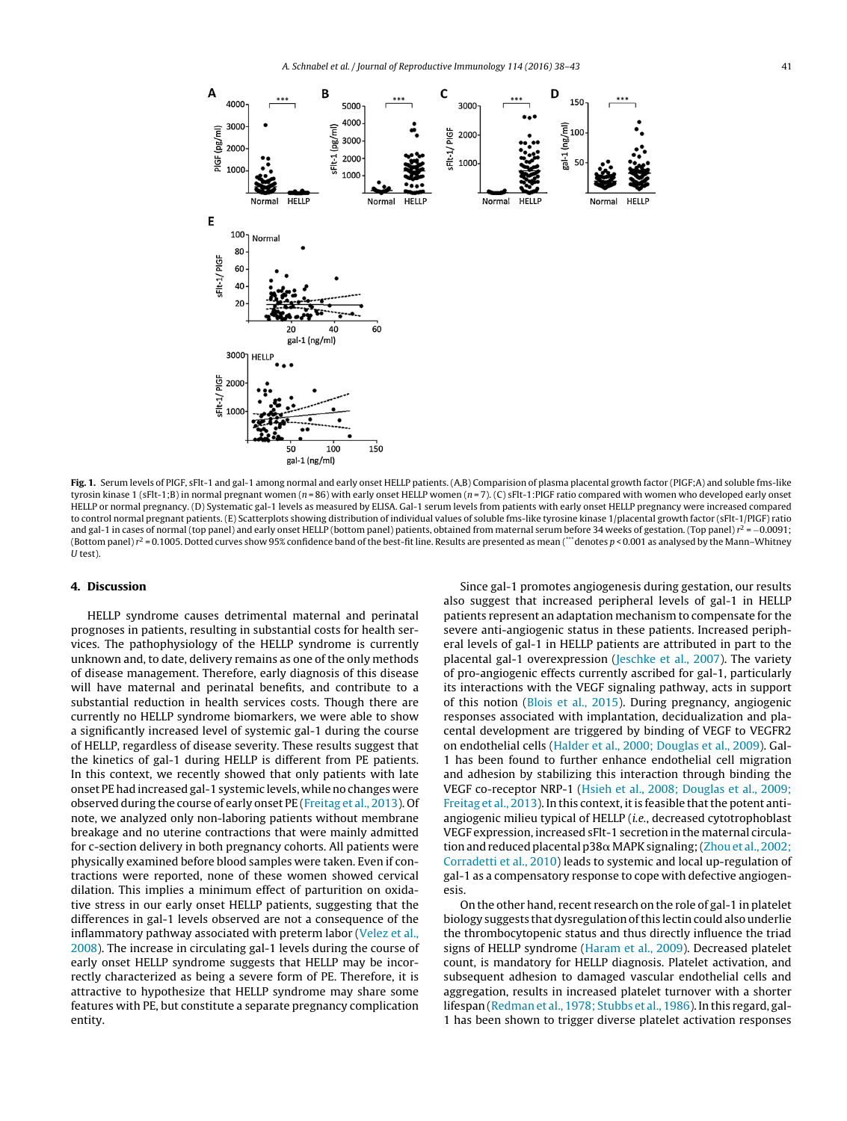<span id="page-3-0"></span>

**Fig. 1.** Serum levels of PIGF, sFlt-1 and gal-1 among normal and early onset HELLP patients. (A,B) Comparision of plasma placental growth factor (PIGF;A) and soluble fms-like tyrosin kinase 1 (sFlt-1;B) in normal pregnant women ( $n = 86$ ) with early onset HELLP women ( $n = 7$ ). (C) sFlt-1:PIGF ratio compared with women who developed early onset HELLP or normal pregnancy. (D) Systematic gal-1 levels as measured by ELISA. Gal-1 serum levels from patients with early onset HELLP pregnancy were increased compared to control normal pregnant patients. (E) Scatterplots showing distribution of individual values of soluble fms-like tyrosine kinase 1/placental growth factor (sFlt-1/PIGF) ratio and gal-1 in cases of normal (top panel) and early onset HELLP (bottom panel) patients, obtained from maternal serum before 34 weeks of gestation. (Top panel)  $r^2 = -0.0091$ ; (Bottom panel)  $r^2$  = 0.1005. Dotted curves show 95% confidence band of the best-fit line. Results are presented as mean (\*\*\* denotes p < 0.001 as analysed by the Mann-Whitney U test).

## **4. Discussion**

HELLP syndrome causes detrimental maternal and perinatal prognoses in patients, resulting in substantial costs for health services. The pathophysiology of the HELLP syndrome is currently unknown and, to date, delivery remains as one of the only methods of disease management. Therefore, early diagnosis of this disease will have maternal and perinatal benefits, and contribute to a substantial reduction in health services costs. Though there are currently no HELLP syndrome biomarkers, we were able to show a significantly increased level of systemic gal-1 during the course of HELLP, regardless of disease severity. These results suggest that the kinetics of gal-1 during HELLP is different from PE patients. In this context, we recently showed that only patients with late onset PEhad increased gal-1 systemic levels, whileno changes were observed during the course of early onset PE [\(Freitag](#page-5-0) et [al.,](#page-5-0) [2013\).](#page-5-0) Of note, we analyzed only non-laboring patients without membrane breakage and no uterine contractions that were mainly admitted for c-section delivery in both pregnancy cohorts. All patients were physically examined before blood samples were taken. Even if contractions were reported, none of these women showed cervical dilation. This implies a minimum effect of parturition on oxidative stress in our early onset HELLP patients, suggesting that the differences in gal-1 levels observed are not a consequence of the inflammatory pathway associated with preterm labor [\(Velez](#page-5-0) et [al.,](#page-5-0) [2008\).](#page-5-0) The increase in circulating gal-1 levels during the course of early onset HELLP syndrome suggests that HELLP may be incorrectly characterized as being a severe form of PE. Therefore, it is attractive to hypothesize that HELLP syndrome may share some features with PE, but constitute a separate pregnancy complication entity.

Since gal-1 promotes angiogenesis during gestation, our results also suggest that increased peripheral levels of gal-1 in HELLP patients represent an adaptation mechanism to compensate for the severe anti-angiogenic status in these patients. Increased peripheral levels of gal-1 in HELLP patients are attributed in part to the placental gal-1 overexpression [\(Jeschke](#page-5-0) et [al.,](#page-5-0) [2007\).](#page-5-0) The variety of pro-angiogenic effects currently ascribed for gal-1, particularly its interactions with the VEGF signaling pathway, acts in support of this notion ([Blois](#page-4-0) et [al.,](#page-4-0) [2015\).](#page-4-0) During pregnancy, angiogenic responses associated with implantation, decidualization and placental development are triggered by binding of VEGF to VEGFR2 on endothelial cells ([Halder](#page-5-0) et [al.,](#page-5-0) [2000;](#page-5-0) [Douglas](#page-5-0) et [al.,](#page-5-0) [2009\).](#page-5-0) Gal-1 has been found to further enhance endothelial cell migration and adhesion by stabilizing this interaction through binding the VEGF co-receptor NRP-1 [\(Hsieh](#page-5-0) et [al.,](#page-5-0) [2008;](#page-5-0) [Douglas](#page-5-0) et [al.,](#page-5-0) [2009;](#page-5-0) [Freitag](#page-5-0) et [al.,](#page-5-0) [2013\).](#page-5-0) In this context, it is feasible that the potent antiangiogenic milieu typical of HELLP (i.e., decreased cytotrophoblast VEGF expression, increased sFlt-1 secretion in the maternal circulation and reduced placental p38α MAPK signaling; (Zhou et [al.,](#page-5-0) [2002;](#page-5-0) [Corradetti](#page-5-0) et [al.,](#page-5-0) [2010\)](#page-5-0) leads to systemic and local up-regulation of gal-1 as a compensatory response to cope with defective angiogenesis.

On the other hand, recent research on the role of gal-1 in platelet biology suggests that dysregulation of this lectin could also underlie the thrombocytopenic status and thus directly influence the triad signs of HELLP syndrome [\(Haram](#page-5-0) et [al.,](#page-5-0) [2009\).](#page-5-0) Decreased platelet count, is mandatory for HELLP diagnosis. Platelet activation, and subsequent adhesion to damaged vascular endothelial cells and aggregation, results in increased platelet turnover with a shorter lifespan ([Redman](#page-5-0) et [al.,](#page-5-0) [1978;](#page-5-0) [Stubbs](#page-5-0) et al., [1986\).](#page-5-0) In this regard, gal-1 has been shown to trigger diverse platelet activation responses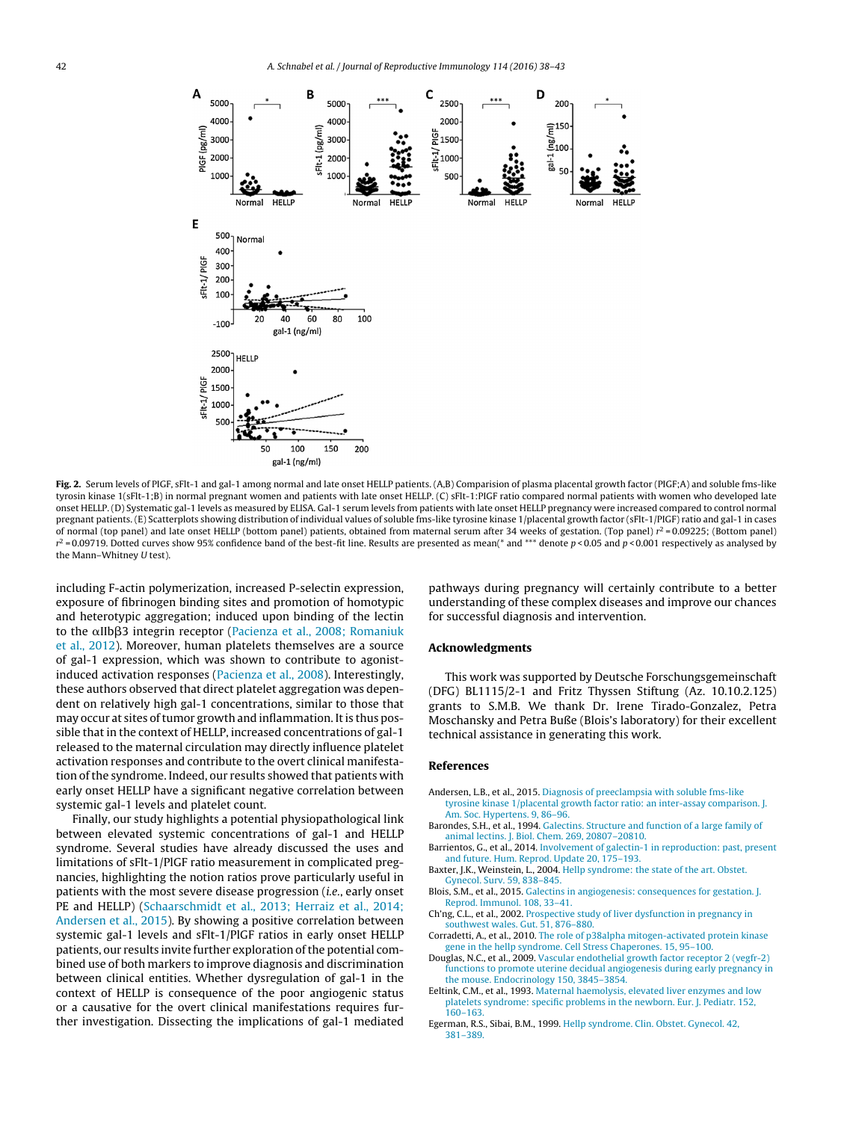<span id="page-4-0"></span>

**Fig. 2.** Serum levels of PIGF, sFlt-1 and gal-1 among normal and late onset HELLP patients. (A,B) Comparision of plasma placental growth factor (PIGF;A) and soluble fms-like tyrosin kinase 1(sFlt-1;B) in normal pregnant women and patients with late onset HELLP. (C) sFlt-1:PIGF ratio compared normal patients with women who developed late onset HELLP. (D) Systematic gal-1 levels as measured by ELISA. Gal-1 serum levels from patients with late onset HELLP pregnancy were increased compared to control normal pregnant patients. (E) Scatterplots showing distribution of individual values of soluble fms-like tyrosine kinase 1/placental growth factor (sFlt-1/PIGF) ratio and gal-1 in cases of normal (top panel) and late onset HELLP (bottom panel) patients, obtained from maternal serum after 34 weeks of gestation. (Top panel)  $r^2 = 0.09225$ ; (Bottom panel)  $r^2$  = 0.09719. Dotted curves show 95% confidence band of the best-fit line. Results are presented as mean(\* and \*\*\* denote p < 0.05 and p < 0.001 respectively as analysed by the Mann–Whitney U test).

including F-actin polymerization, increased P-selectin expression, exposure of fibrinogen binding sites and promotion of homotypic and heterotypic aggregation; induced upon binding of the lectin to the αIIbβ3 integrin receptor [\(Pacienza](#page-5-0) et [al.,](#page-5-0) [2008;](#page-5-0) [Romaniuk](#page-5-0) et [al.,](#page-5-0) [2012\).](#page-5-0) Moreover, human platelets themselves are a source of gal-1 expression, which was shown to contribute to agonistinduced activation responses [\(Pacienza](#page-5-0) et [al.,](#page-5-0) [2008\).](#page-5-0) Interestingly, these authors observed that direct platelet aggregation was dependent on relatively high gal-1 concentrations, similar to those that may occur at sites of tumor growth and inflammation. It is thus possible that in the context of HELLP, increased concentrations of gal-1 released to the maternal circulation may directly influence platelet activation responses and contribute to the overt clinical manifestation of the syndrome. Indeed, our results showed that patients with early onset HELLP have a significant negative correlation between systemic gal-1 levels and platelet count.

Finally, our study highlights a potential physiopathological link between elevated systemic concentrations of gal-1 and HELLP syndrome. Several studies have already discussed the uses and limitations of sFlt-1/PlGF ratio measurement in complicated pregnancies, highlighting the notion ratios prove particularly useful in patients with the most severe disease progression (i.e., early onset PE and HELLP) [\(Schaarschmidt](#page-5-0) et [al.,](#page-5-0) [2013;](#page-5-0) [Herraiz](#page-5-0) et [al.,](#page-5-0) [2014;](#page-5-0) [Andersen](#page-5-0) et [al.,](#page-5-0) [2015\).](#page-5-0) By showing a positive correlation between systemic gal-1 levels and sFlt-1/PlGF ratios in early onset HELLP patients, our results invite further exploration of the potential combined use of both markers to improve diagnosis and discrimination between clinical entities. Whether dysregulation of gal-1 in the context of HELLP is consequence of the poor angiogenic status or a causative for the overt clinical manifestations requires further investigation. Dissecting the implications of gal-1 mediated

pathways during pregnancy will certainly contribute to a better understanding of these complex diseases and improve our chances for successful diagnosis and intervention.

## **Acknowledgments**

This work was supported by Deutsche Forschungsgemeinschaft (DFG) BL1115/2-1 and Fritz Thyssen Stiftung (Az. 10.10.2.125) grants to S.M.B. We thank Dr. Irene Tirado-Gonzalez, Petra Moschansky and Petra Buße (Blois's laboratory) for their excellent technical assistance in generating this work.

### **References**

- Andersen, L.B., et al., 2015. [Diagnosis](http://refhub.elsevier.com/S0165-0378(15)30073-5/sbref0005) [of](http://refhub.elsevier.com/S0165-0378(15)30073-5/sbref0005) [preeclampsia](http://refhub.elsevier.com/S0165-0378(15)30073-5/sbref0005) [with](http://refhub.elsevier.com/S0165-0378(15)30073-5/sbref0005) [soluble](http://refhub.elsevier.com/S0165-0378(15)30073-5/sbref0005) [fms-like](http://refhub.elsevier.com/S0165-0378(15)30073-5/sbref0005) [tyrosine](http://refhub.elsevier.com/S0165-0378(15)30073-5/sbref0005) [kinase](http://refhub.elsevier.com/S0165-0378(15)30073-5/sbref0005) [1/placental](http://refhub.elsevier.com/S0165-0378(15)30073-5/sbref0005) [growth](http://refhub.elsevier.com/S0165-0378(15)30073-5/sbref0005) [factor](http://refhub.elsevier.com/S0165-0378(15)30073-5/sbref0005) [ratio:](http://refhub.elsevier.com/S0165-0378(15)30073-5/sbref0005) [an](http://refhub.elsevier.com/S0165-0378(15)30073-5/sbref0005) [inter-assay](http://refhub.elsevier.com/S0165-0378(15)30073-5/sbref0005) [comparison.](http://refhub.elsevier.com/S0165-0378(15)30073-5/sbref0005) [J.](http://refhub.elsevier.com/S0165-0378(15)30073-5/sbref0005) [Am.](http://refhub.elsevier.com/S0165-0378(15)30073-5/sbref0005) [Soc.](http://refhub.elsevier.com/S0165-0378(15)30073-5/sbref0005) [Hypertens.](http://refhub.elsevier.com/S0165-0378(15)30073-5/sbref0005) [9,](http://refhub.elsevier.com/S0165-0378(15)30073-5/sbref0005) [86–96.](http://refhub.elsevier.com/S0165-0378(15)30073-5/sbref0005)
- Barondes, S.H., et al., 1994. [Galectins.](http://refhub.elsevier.com/S0165-0378(15)30073-5/sbref0010) [Structure](http://refhub.elsevier.com/S0165-0378(15)30073-5/sbref0010) [and](http://refhub.elsevier.com/S0165-0378(15)30073-5/sbref0010) [function](http://refhub.elsevier.com/S0165-0378(15)30073-5/sbref0010) [of](http://refhub.elsevier.com/S0165-0378(15)30073-5/sbref0010) [a](http://refhub.elsevier.com/S0165-0378(15)30073-5/sbref0010) [large](http://refhub.elsevier.com/S0165-0378(15)30073-5/sbref0010) [family](http://refhub.elsevier.com/S0165-0378(15)30073-5/sbref0010) [of](http://refhub.elsevier.com/S0165-0378(15)30073-5/sbref0010) [animal](http://refhub.elsevier.com/S0165-0378(15)30073-5/sbref0010) [lectins.](http://refhub.elsevier.com/S0165-0378(15)30073-5/sbref0010) [J.](http://refhub.elsevier.com/S0165-0378(15)30073-5/sbref0010) [Biol.](http://refhub.elsevier.com/S0165-0378(15)30073-5/sbref0010) [Chem.](http://refhub.elsevier.com/S0165-0378(15)30073-5/sbref0010) [269,](http://refhub.elsevier.com/S0165-0378(15)30073-5/sbref0010) [20807–20810.](http://refhub.elsevier.com/S0165-0378(15)30073-5/sbref0010)
- Barrientos, G., et al., 2014. [Involvement](http://refhub.elsevier.com/S0165-0378(15)30073-5/sbref0015) [of](http://refhub.elsevier.com/S0165-0378(15)30073-5/sbref0015) [galectin-1](http://refhub.elsevier.com/S0165-0378(15)30073-5/sbref0015) [in](http://refhub.elsevier.com/S0165-0378(15)30073-5/sbref0015) [reproduction:](http://refhub.elsevier.com/S0165-0378(15)30073-5/sbref0015) [past,](http://refhub.elsevier.com/S0165-0378(15)30073-5/sbref0015) [present](http://refhub.elsevier.com/S0165-0378(15)30073-5/sbref0015) [and](http://refhub.elsevier.com/S0165-0378(15)30073-5/sbref0015) [future.](http://refhub.elsevier.com/S0165-0378(15)30073-5/sbref0015) [Hum.](http://refhub.elsevier.com/S0165-0378(15)30073-5/sbref0015) [Reprod.](http://refhub.elsevier.com/S0165-0378(15)30073-5/sbref0015) [Update](http://refhub.elsevier.com/S0165-0378(15)30073-5/sbref0015) [20,](http://refhub.elsevier.com/S0165-0378(15)30073-5/sbref0015) [175–193.](http://refhub.elsevier.com/S0165-0378(15)30073-5/sbref0015)
- Baxter, J.K., Weinstein, L., 2004. [Hellp](http://refhub.elsevier.com/S0165-0378(15)30073-5/sbref0020) [syndrome:](http://refhub.elsevier.com/S0165-0378(15)30073-5/sbref0020) [the](http://refhub.elsevier.com/S0165-0378(15)30073-5/sbref0020) [state](http://refhub.elsevier.com/S0165-0378(15)30073-5/sbref0020) [of](http://refhub.elsevier.com/S0165-0378(15)30073-5/sbref0020) [the](http://refhub.elsevier.com/S0165-0378(15)30073-5/sbref0020) [art.](http://refhub.elsevier.com/S0165-0378(15)30073-5/sbref0020) [Obstet.](http://refhub.elsevier.com/S0165-0378(15)30073-5/sbref0020) [Gynecol.](http://refhub.elsevier.com/S0165-0378(15)30073-5/sbref0020) [Surv.](http://refhub.elsevier.com/S0165-0378(15)30073-5/sbref0020) [59,](http://refhub.elsevier.com/S0165-0378(15)30073-5/sbref0020) [838–845.](http://refhub.elsevier.com/S0165-0378(15)30073-5/sbref0020)
- Blois, S.M., et al., 2015. [Galectins](http://refhub.elsevier.com/S0165-0378(15)30073-5/sbref0025) [in](http://refhub.elsevier.com/S0165-0378(15)30073-5/sbref0025) [angiogenesis:](http://refhub.elsevier.com/S0165-0378(15)30073-5/sbref0025) [consequences](http://refhub.elsevier.com/S0165-0378(15)30073-5/sbref0025) [for](http://refhub.elsevier.com/S0165-0378(15)30073-5/sbref0025) [gestation.](http://refhub.elsevier.com/S0165-0378(15)30073-5/sbref0025) [J.](http://refhub.elsevier.com/S0165-0378(15)30073-5/sbref0025) [Reprod.](http://refhub.elsevier.com/S0165-0378(15)30073-5/sbref0025) [Immunol.](http://refhub.elsevier.com/S0165-0378(15)30073-5/sbref0025) [108,](http://refhub.elsevier.com/S0165-0378(15)30073-5/sbref0025) [33–41.](http://refhub.elsevier.com/S0165-0378(15)30073-5/sbref0025)
- Ch'ng, C.L., et al., 2002. [Prospective](http://refhub.elsevier.com/S0165-0378(15)30073-5/sbref0030) [study](http://refhub.elsevier.com/S0165-0378(15)30073-5/sbref0030) [of](http://refhub.elsevier.com/S0165-0378(15)30073-5/sbref0030) [liver](http://refhub.elsevier.com/S0165-0378(15)30073-5/sbref0030) [dysfunction](http://refhub.elsevier.com/S0165-0378(15)30073-5/sbref0030) [in](http://refhub.elsevier.com/S0165-0378(15)30073-5/sbref0030) [pregnancy](http://refhub.elsevier.com/S0165-0378(15)30073-5/sbref0030) [in](http://refhub.elsevier.com/S0165-0378(15)30073-5/sbref0030) [southwest](http://refhub.elsevier.com/S0165-0378(15)30073-5/sbref0030) [wales.](http://refhub.elsevier.com/S0165-0378(15)30073-5/sbref0030) [Gut.](http://refhub.elsevier.com/S0165-0378(15)30073-5/sbref0030) [51,](http://refhub.elsevier.com/S0165-0378(15)30073-5/sbref0030) [876](http://refhub.elsevier.com/S0165-0378(15)30073-5/sbref0030)–[880.](http://refhub.elsevier.com/S0165-0378(15)30073-5/sbref0030)
- Corradetti, A., et al., 2010. [The](http://refhub.elsevier.com/S0165-0378(15)30073-5/sbref0035) [role](http://refhub.elsevier.com/S0165-0378(15)30073-5/sbref0035) [of](http://refhub.elsevier.com/S0165-0378(15)30073-5/sbref0035) [p38alpha](http://refhub.elsevier.com/S0165-0378(15)30073-5/sbref0035) [mitogen-activated](http://refhub.elsevier.com/S0165-0378(15)30073-5/sbref0035) [protein](http://refhub.elsevier.com/S0165-0378(15)30073-5/sbref0035) [kinase](http://refhub.elsevier.com/S0165-0378(15)30073-5/sbref0035) [gene](http://refhub.elsevier.com/S0165-0378(15)30073-5/sbref0035) [in](http://refhub.elsevier.com/S0165-0378(15)30073-5/sbref0035) [the](http://refhub.elsevier.com/S0165-0378(15)30073-5/sbref0035) [hellp](http://refhub.elsevier.com/S0165-0378(15)30073-5/sbref0035) [syndrome.](http://refhub.elsevier.com/S0165-0378(15)30073-5/sbref0035) [Cell](http://refhub.elsevier.com/S0165-0378(15)30073-5/sbref0035) [Stress](http://refhub.elsevier.com/S0165-0378(15)30073-5/sbref0035) [Chaperones.](http://refhub.elsevier.com/S0165-0378(15)30073-5/sbref0035) [15,](http://refhub.elsevier.com/S0165-0378(15)30073-5/sbref0035) [95](http://refhub.elsevier.com/S0165-0378(15)30073-5/sbref0035)–[100.](http://refhub.elsevier.com/S0165-0378(15)30073-5/sbref0035)
- Douglas, N.C., et al., 2009. [Vascular](http://refhub.elsevier.com/S0165-0378(15)30073-5/sbref0040) [endothelial](http://refhub.elsevier.com/S0165-0378(15)30073-5/sbref0040) [growth](http://refhub.elsevier.com/S0165-0378(15)30073-5/sbref0040) [factor](http://refhub.elsevier.com/S0165-0378(15)30073-5/sbref0040) [receptor](http://refhub.elsevier.com/S0165-0378(15)30073-5/sbref0040) [2](http://refhub.elsevier.com/S0165-0378(15)30073-5/sbref0040) [\(vegfr-2\)](http://refhub.elsevier.com/S0165-0378(15)30073-5/sbref0040) [functions](http://refhub.elsevier.com/S0165-0378(15)30073-5/sbref0040) [to](http://refhub.elsevier.com/S0165-0378(15)30073-5/sbref0040) [promote](http://refhub.elsevier.com/S0165-0378(15)30073-5/sbref0040) [uterine](http://refhub.elsevier.com/S0165-0378(15)30073-5/sbref0040) [decidual](http://refhub.elsevier.com/S0165-0378(15)30073-5/sbref0040) [angiogenesis](http://refhub.elsevier.com/S0165-0378(15)30073-5/sbref0040) [during](http://refhub.elsevier.com/S0165-0378(15)30073-5/sbref0040) [early](http://refhub.elsevier.com/S0165-0378(15)30073-5/sbref0040) [pregnancy](http://refhub.elsevier.com/S0165-0378(15)30073-5/sbref0040) [in](http://refhub.elsevier.com/S0165-0378(15)30073-5/sbref0040) [the](http://refhub.elsevier.com/S0165-0378(15)30073-5/sbref0040) [mouse.](http://refhub.elsevier.com/S0165-0378(15)30073-5/sbref0040) [Endocrinology](http://refhub.elsevier.com/S0165-0378(15)30073-5/sbref0040) [150,](http://refhub.elsevier.com/S0165-0378(15)30073-5/sbref0040) [3845–3854.](http://refhub.elsevier.com/S0165-0378(15)30073-5/sbref0040)
- Eeltink, C.M., et al., 1993. [Maternal](http://refhub.elsevier.com/S0165-0378(15)30073-5/sbref0045) [haemolysis,](http://refhub.elsevier.com/S0165-0378(15)30073-5/sbref0045) [elevated](http://refhub.elsevier.com/S0165-0378(15)30073-5/sbref0045) [liver](http://refhub.elsevier.com/S0165-0378(15)30073-5/sbref0045) [enzymes](http://refhub.elsevier.com/S0165-0378(15)30073-5/sbref0045) [and](http://refhub.elsevier.com/S0165-0378(15)30073-5/sbref0045) [low](http://refhub.elsevier.com/S0165-0378(15)30073-5/sbref0045) [platelets](http://refhub.elsevier.com/S0165-0378(15)30073-5/sbref0045) [syndrome:](http://refhub.elsevier.com/S0165-0378(15)30073-5/sbref0045) [specific](http://refhub.elsevier.com/S0165-0378(15)30073-5/sbref0045) [problems](http://refhub.elsevier.com/S0165-0378(15)30073-5/sbref0045) [in](http://refhub.elsevier.com/S0165-0378(15)30073-5/sbref0045) [the](http://refhub.elsevier.com/S0165-0378(15)30073-5/sbref0045) [newborn.](http://refhub.elsevier.com/S0165-0378(15)30073-5/sbref0045) [Eur.](http://refhub.elsevier.com/S0165-0378(15)30073-5/sbref0045) [J.](http://refhub.elsevier.com/S0165-0378(15)30073-5/sbref0045) [Pediatr.](http://refhub.elsevier.com/S0165-0378(15)30073-5/sbref0045) [152,](http://refhub.elsevier.com/S0165-0378(15)30073-5/sbref0045) [160–163.](http://refhub.elsevier.com/S0165-0378(15)30073-5/sbref0045)
- Egerman, R.S., Sibai, B.M., 1999. [Hellp](http://refhub.elsevier.com/S0165-0378(15)30073-5/sbref0050) [syndrome.](http://refhub.elsevier.com/S0165-0378(15)30073-5/sbref0050) [Clin.](http://refhub.elsevier.com/S0165-0378(15)30073-5/sbref0050) [Obstet.](http://refhub.elsevier.com/S0165-0378(15)30073-5/sbref0050) [Gynecol.](http://refhub.elsevier.com/S0165-0378(15)30073-5/sbref0050) [42,](http://refhub.elsevier.com/S0165-0378(15)30073-5/sbref0050) [381](http://refhub.elsevier.com/S0165-0378(15)30073-5/sbref0050)–[389.](http://refhub.elsevier.com/S0165-0378(15)30073-5/sbref0050)